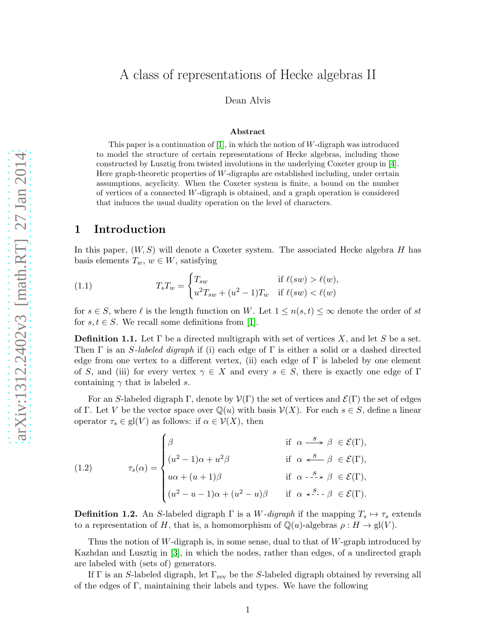# A class of representations of Hecke algebras II

Dean Alvis

#### Abstract

This paper is a continuation of  $|1|$ , in which the notion of W-digraph was introduced to model the structure of certain representations of Hecke algebras, including those constructed by Lusztig from twisted involutions in the underlying Coxeter group in [\[4\]](#page-14-1). Here graph-theoretic properties of W-digraphs are established including, under certain assumptions, acyclicity. When the Coxeter system is finite, a bound on the number of vertices of a connected  $W$ -digraph is obtained, and a graph operation is considered that induces the usual duality operation on the level of characters.

## 1 Introduction

In this paper,  $(W, S)$  will denote a Coxeter system. The associated Hecke algebra H has basis elements  $T_w, w \in W$ , satisfying

(1.1) 
$$
T_{s}T_{w} = \begin{cases} T_{sw} & \text{if } \ell(sw) > \ell(w), \\ u^{2}T_{sw} + (u^{2} - 1)T_{w} & \text{if } \ell(sw) < \ell(w) \end{cases}
$$

for  $s \in S$ , where  $\ell$  is the length function on W. Let  $1 \leq n(s,t) \leq \infty$  denote the order of st for  $s, t \in S$ . We recall some definitions from [\[1\]](#page-14-0).

**Definition 1.1.** Let  $\Gamma$  be a directed multigraph with set of vertices X, and let S be a set. Then  $\Gamma$  is an *S*-labeled digraph if (i) each edge of  $\Gamma$  is either a solid or a dashed directed edge from one vertex to a different vertex, (ii) each edge of  $\Gamma$  is labeled by one element of S, and (iii) for every vertex  $\gamma \in X$  and every  $s \in S$ , there is exactly one edge of Γ containing  $\gamma$  that is labeled s.

For an S-labeled digraph Γ, denote by  $\mathcal{V}(\Gamma)$  the set of vertices and  $\mathcal{E}(\Gamma)$  the set of edges of Γ. Let V be the vector space over  $\mathbb{Q}(u)$  with basis  $\mathcal{V}(X)$ . For each  $s \in S$ , define a linear operator  $\tau_s \in \text{gl}(V)$  as follows: if  $\alpha \in \mathcal{V}(X)$ , then

<span id="page-0-0"></span>(1.2) 
$$
\tau_s(\alpha) = \begin{cases} \beta & \text{if } \alpha \stackrel{s}{\longrightarrow} \beta \in \mathcal{E}(\Gamma), \\ (u^2 - 1)\alpha + u^2\beta & \text{if } \alpha \stackrel{s}{\longleftarrow} \beta \in \mathcal{E}(\Gamma), \\ u\alpha + (u+1)\beta & \text{if } \alpha \stackrel{s}{\longleftarrow} \beta \in \mathcal{E}(\Gamma), \\ (u^2 - u - 1)\alpha + (u^2 - u)\beta & \text{if } \alpha \stackrel{s}{\longleftarrow} \beta \in \mathcal{E}(\Gamma). \end{cases}
$$

**Definition 1.2.** An S-labeled digraph  $\Gamma$  is a W-digraph if the mapping  $T_s \mapsto \tau_s$  extends to a representation of H, that is, a homomorphism of  $\mathbb{Q}(u)$ -algebras  $\rho: H \to \text{gl}(V)$ .

Thus the notion of W-digraph is, in some sense, dual to that of  $W$ -graph introduced by Kazhdan and Lusztig in [\[3\]](#page-14-2), in which the nodes, rather than edges, of a undirected graph are labeled with (sets of) generators.

If  $\Gamma$  is an S-labeled digraph, let  $\Gamma_{\text{rev}}$  be the S-labeled digraph obtained by reversing all of the edges of Γ, maintaining their labels and types. We have the following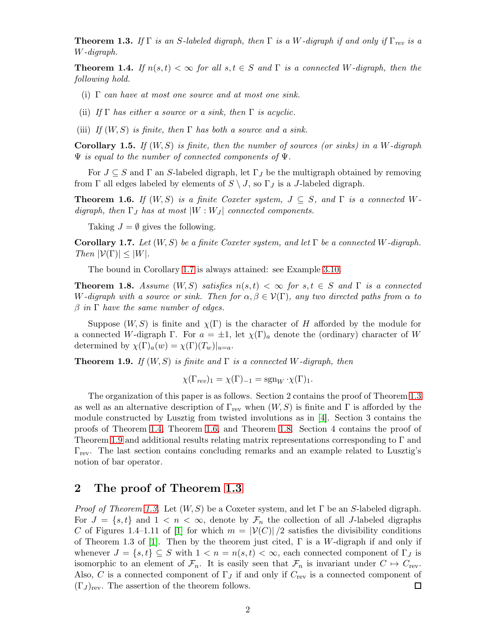<span id="page-1-1"></span>**Theorem 1.3.** If Γ is an S-labeled digraph, then Γ is a W-digraph if and only if  $\Gamma_{rev}$  is a W-digraph.

<span id="page-1-2"></span>**Theorem 1.4.** If  $n(s,t) < \infty$  for all  $s,t \in S$  and  $\Gamma$  is a connected W-digraph, then the following hold.

- (i)  $\Gamma$  can have at most one source and at most one sink.
- (ii) If  $\Gamma$  has either a source or a sink, then  $\Gamma$  is acyclic.
- (iii) If  $(W, S)$  is finite, then  $\Gamma$  has both a source and a sink.

**Corollary 1.5.** If  $(W, S)$  is finite, then the number of sources (or sinks) in a W-digraph  $\Psi$  is equal to the number of connected components of  $\Psi$ .

For  $J \subseteq S$  and  $\Gamma$  an S-labeled digraph, let  $\Gamma_J$  be the multigraph obtained by removing from  $\Gamma$  all edges labeled by elements of  $S \setminus J$ , so  $\Gamma_I$  is a J-labeled digraph.

<span id="page-1-3"></span>**Theorem 1.6.** If  $(W, S)$  is a finite Coxeter system,  $J \subseteq S$ , and  $\Gamma$  is a connected Wdigraph, then  $\Gamma_J$  has at most  $|W:W_J|$  connected components.

Taking  $J = \emptyset$  gives the following.

<span id="page-1-0"></span>Corollary 1.7. Let  $(W, S)$  be a finite Coxeter system, and let  $\Gamma$  be a connected W-digraph.  $Then$   $|\mathcal{V}(\Gamma)| \leq |W|$ .

The bound in Corollary [1.7](#page-1-0) is always attained: see Example [3.10.](#page-9-0)

<span id="page-1-4"></span>**Theorem 1.8.** Assume  $(W, S)$  satisfies  $n(s,t) < \infty$  for  $s, t \in S$  and  $\Gamma$  is a connected W-digraph with a source or sink. Then for  $\alpha, \beta \in V(\Gamma)$ , any two directed paths from  $\alpha$  to  $\beta$  in  $\Gamma$  have the same number of edges.

Suppose  $(W, S)$  is finite and  $\chi(\Gamma)$  is the character of H afforded by the module for a connected W-digraph Γ. For  $a = \pm 1$ , let  $\chi(\Gamma)_a$  denote the (ordinary) character of W determined by  $\chi(\Gamma)_a(w) = \chi(\Gamma)(T_w)|_{u=a}$ .

<span id="page-1-5"></span>**Theorem 1.9.** If  $(W, S)$  is finite and  $\Gamma$  is a connected W-digraph, then

$$
\chi(\Gamma_{rev})_1 = \chi(\Gamma)_{-1} = \operatorname{sgn}_W \cdot \chi(\Gamma)_1.
$$

The organization of this paper is as follows. Section 2 contains the proof of Theorem [1.3](#page-1-1) as well as an alternative description of  $\Gamma_{\text{rev}}$  when  $(W, S)$  is finite and  $\Gamma$  is afforded by the module constructed by Lusztig from twisted involutions as in [\[4\]](#page-14-1). Section 3 contains the proofs of Theorem [1.4,](#page-1-2) Theorem [1.6,](#page-1-3) and Theorem [1.8.](#page-1-4) Section 4 contains the proof of Theorem [1.9](#page-1-5) and additional results relating matrix representations corresponding to  $\Gamma$  and Γrev. The last section contains concluding remarks and an example related to Lusztig's notion of bar operator.

## 2 The proof of Theorem [1.3](#page-1-1)

*Proof of Theorem [1.3.](#page-1-1)* Let  $(W, S)$  be a Coxeter system, and let  $\Gamma$  be an S-labeled digraph. For  $J = \{s, t\}$  and  $1 \leq n \leq \infty$ , denote by  $\mathcal{F}_n$  the collection of all J-labeled digraphs C of Figures 1.4–1.11 of [\[1\]](#page-14-0) for which  $m = |\mathcal{V}(C)|/2$  satisfies the divisibility conditions of Theorem 1.3 of [\[1\]](#page-14-0). Then by the theorem just cited,  $\Gamma$  is a W-digraph if and only if whenever  $J = \{s, t\} \subseteq S$  with  $1 < n = n(s, t) < \infty$ , each connected component of  $\Gamma_J$  is isomorphic to an element of  $\mathcal{F}_n$ . It is easily seen that  $\mathcal{F}_n$  is invariant under  $C \mapsto C_{\text{rev}}$ . Also, C is a connected component of  $\Gamma_J$  if and only if  $C_{\text{rev}}$  is a connected component of  $(\Gamma_J)_{\text{rev}}$ . The assertion of the theorem follows.  $\Box$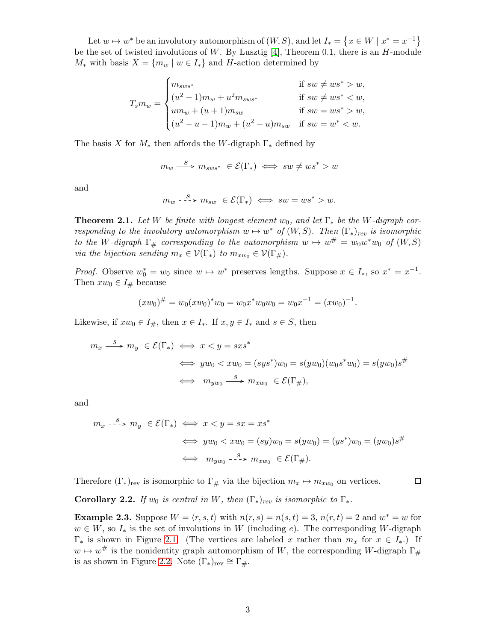Let  $w \mapsto w^*$  be an involutory automorphism of  $(W, S)$ , and let  $I_* = \{x \in W \mid x^* = x^{-1}\}\$ be the set of twisted involutions of W. By Lusztig  $[4]$ , Theorem 0.1, there is an H-module  $M_*$  with basis  $X = \{m_w \mid w \in I_*\}$  and H-action determined by

$$
T_{s}m_{w} = \begin{cases} m_{sws^{*}} & \text{if } sw \neq ws^{*} > w, \\ (u^{2}-1)m_{w} + u^{2}m_{sws^{*}} & \text{if } sw \neq ws^{*} < w, \\ um_{w} + (u+1)m_{sw} & \text{if } sw = ws^{*} > w, \\ (u^{2}-u-1)m_{w} + (u^{2}-u)m_{sw} & \text{if } sw = w^{*} < w. \end{cases}
$$

The basis X for  $M_*$  then affords the W-digraph  $\Gamma_*$  defined by

$$
m_w \xrightarrow{S} m_{sws^*} \in \mathcal{E}(\Gamma_*) \iff sw \neq ws^* > w
$$

and

$$
m_w \xrightarrow{S} m_{sw} \in \mathcal{E}(\Gamma_*) \iff sw = ws^* > w.
$$

**Theorem 2.1.** Let W be finite with longest element w<sub>0</sub>, and let  $\Gamma_*$  be the W-digraph corresponding to the involutory automorphism  $w \mapsto w^*$  of  $(W, S)$ . Then  $(\Gamma_*)_{rev}$  is isomorphic to the W-digraph  $\Gamma_{\#}$  corresponding to the automorphism  $w \mapsto w^{\#} = w_0w^*w_0$  of  $(W, S)$ via the bijection sending  $m_x \in \mathcal{V}(\Gamma_*)$  to  $m_{xw_0} \in \mathcal{V}(\Gamma_*)$ .

*Proof.* Observe  $w_0^* = w_0$  since  $w \mapsto w^*$  preserves lengths. Suppose  $x \in I_*,$  so  $x^* = x^{-1}$ . Then  $xw_0 \in I_{\#}$  because

$$
(xw_0)^{\#} = w_0(xw_0)^* w_0 = w_0 x^* w_0 w_0 = w_0 x^{-1} = (xw_0)^{-1}.
$$

Likewise, if  $xw_0 \in I_{\#}$ , then  $x \in I_*$ . If  $x, y \in I_*$  and  $s \in S$ , then

$$
m_x \xrightarrow{S} m_y \in \mathcal{E}(\Gamma_*) \iff x < y = sxs^*
$$
\n
$$
\iff yw_0 < xw_0 = (sys^*)w_0 = s(yw_0)(w_0s^*w_0) = s(yw_0)s^{\#}
$$
\n
$$
\iff m_{yw_0} \xrightarrow{S} m_{xw_0} \in \mathcal{E}(\Gamma_{\#}),
$$

and

$$
m_x \xrightarrow{S} m_y \in \mathcal{E}(\Gamma_*) \iff x < y = sx = xs^*
$$
\n
$$
\iff yw_0 < xw_0 = (sy)w_0 = s(yw_0) = (ys^*)w_0 = (yw_0)s^*
$$
\n
$$
\iff m_{yw_0} \xrightarrow{S} m_{xw_0} \in \mathcal{E}(\Gamma_*).
$$

Therefore  $(\Gamma_*)_{\text{rev}}$  is isomorphic to  $\Gamma_\#$  via the bijection  $m_x \mapsto m_{xw_0}$  on vertices.

 $\Box$ 

Corollary 2.2. If  $w_0$  is central in W, then  $(\Gamma_*)_{rev}$  is isomorphic to  $\Gamma_*$ .

**Example 2.3.** Suppose  $W = \langle r, s, t \rangle$  with  $n(r, s) = n(s, t) = 3$ ,  $n(r, t) = 2$  and  $w^* = w$  for  $w \in W$ , so  $I_*$  is the set of involutions in W (including e). The corresponding W-digraph  $\Gamma_*$  is shown in Figure [2.1.](#page-3-0) (The vertices are labeled x rather than  $m_x$  for  $x \in I_*$ .) If  $w \mapsto w^{\#}$  is the nonidentity graph automorphism of W, the corresponding W-digraph  $\Gamma_{\#}$ is as shown in Figure [2.2.](#page-3-0) Note  $(\Gamma_*)_{rev} \cong \Gamma_{\#}$ .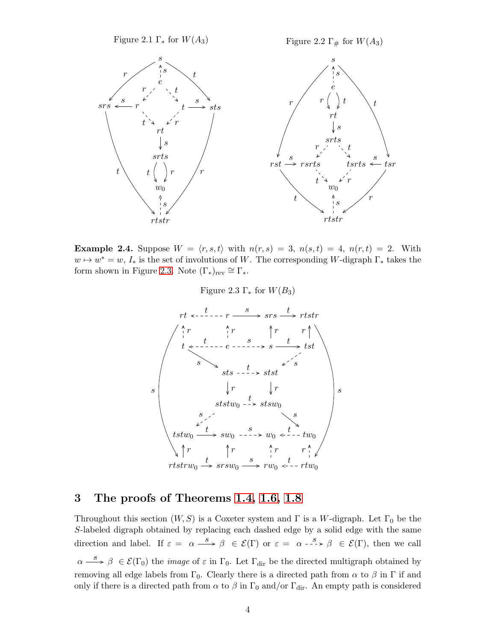

Figure 2.2  $\Gamma_{\#}$  for  $W(A_3)$ 

<span id="page-3-0"></span>

<span id="page-3-1"></span>**Example 2.4.** Suppose  $W = \langle r, s, t \rangle$  with  $n(r, s) = 3$ ,  $n(s, t) = 4$ ,  $n(r, t) = 2$ . With  $w \mapsto w^* = w, I_*$  is the set of involutions of W. The corresponding W-digraph  $\Gamma_*$  takes the form shown in Figure [2.3.](#page-3-1) Note  $(\Gamma_*)_{rev} \cong \Gamma_*$ .

Figure 2.3  $\Gamma_*$  for  $W(B_3)$ 



## 3 The proofs of Theorems [1.4,](#page-1-2) [1.6,](#page-1-3) [1.8](#page-1-4)

Throughout this section  $(W, S)$  is a Coxeter system and  $\Gamma$  is a W-digraph. Let  $\Gamma_0$  be the S-labeled digraph obtained by replacing each dashed edge by a solid edge with the same direction and label. If  $\varepsilon = \alpha \xrightarrow{s} \beta \in \mathcal{E}(\Gamma)$  or  $\varepsilon = \alpha - \xrightarrow{s} \beta \in \mathcal{E}(\Gamma)$ , then we call  $\alpha \stackrel{s}{\longrightarrow} \beta \in \mathcal{E}(\Gamma_0)$  the *image* of  $\varepsilon$  in  $\Gamma_0$ . Let  $\Gamma_{\text{dir}}$  be the directed multigraph obtained by removing all edge labels from  $\Gamma_0$ . Clearly there is a directed path from  $\alpha$  to  $\beta$  in  $\Gamma$  if and only if there is a directed path from  $\alpha$  to  $\beta$  in  $\Gamma_0$  and/or  $\Gamma_{\text{dir}}$ . An empty path is considered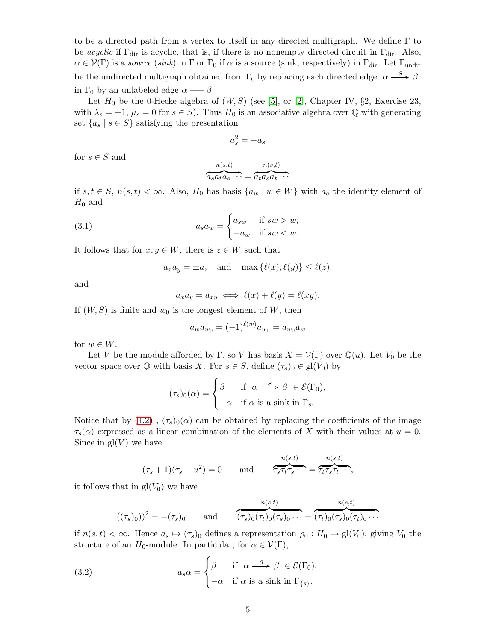to be a directed path from a vertex to itself in any directed multigraph. We define  $\Gamma$  to be acyclic if  $\Gamma_{\text{dir}}$  is acyclic, that is, if there is no nonempty directed circuit in  $\Gamma_{\text{dir}}$ . Also,  $\alpha \in \mathcal{V}(\Gamma)$  is a source (sink) in  $\Gamma$  or  $\Gamma_0$  if  $\alpha$  is a source (sink, respectively) in  $\Gamma_{\text{dir}}$ . Let  $\Gamma_{\text{undir}}$ be the undirected multigraph obtained from  $\Gamma_0$  by replacing each directed edge  $\alpha \stackrel{S}{\longrightarrow} \beta$ in  $\Gamma_0$  by an unlabeled edge  $\alpha \longrightarrow \beta$ .

Let  $H_0$  be the 0-Hecke algebra of  $(W, S)$  (see [\[5\]](#page-14-3), or [\[2\]](#page-14-4), Chapter IV, §2, Exercise 23, with  $\lambda_s = -1$ ,  $\mu_s = 0$  for  $s \in S$ ). Thus  $H_0$  is an associative algebra over Q with generating set  ${a_s | s \in S}$  satisfying the presentation

$$
a_s^2 = -a_s
$$

for  $s \in S$  and

$$
\overbrace{a_s a_t a_s \cdots}^{n(s,t)} = \overbrace{a_t a_s a_t \cdots}^{n(s,t)}
$$

if  $s, t \in S$ ,  $n(s,t) < \infty$ . Also,  $H_0$  has basis  $\{a_w \mid w \in W\}$  with  $a_e$  the identity element of  $H_0$  and

(3.1) 
$$
a_s a_w = \begin{cases} a_{sw} & \text{if } sw > w, \\ -a_w & \text{if } sw < w. \end{cases}
$$

It follows that for  $x, y \in W$ , there is  $z \in W$  such that

<span id="page-4-0"></span>
$$
a_x a_y = \pm a_z
$$
 and  $\max{\ell(x), \ell(y)} \le \ell(z)$ ,

and

$$
a_x a_y = a_{xy} \iff \ell(x) + \ell(y) = \ell(xy).
$$

If  $(W, S)$  is finite and  $w_0$  is the longest element of W, then

$$
a_w a_{w_0} = (-1)^{\ell(w)} a_{w_0} = a_{w_0} a_w
$$

for  $w \in W$ .

Let V be the module afforded by Γ, so V has basis  $X = V(\Gamma)$  over  $\mathbb{Q}(u)$ . Let  $V_0$  be the vector space over Q with basis X. For  $s \in S$ , define  $(\tau_s)_0 \in \text{gl}(V_0)$  by

$$
(\tau_s)_0(\alpha) = \begin{cases} \beta & \text{if } \alpha \xrightarrow{S} \beta \in \mathcal{E}(\Gamma_0), \\ -\alpha & \text{if } \alpha \text{ is a sink in } \Gamma_s. \end{cases}
$$

Notice that by  $(1.2)$ ,  $(\tau_s)_0(\alpha)$  can be obtained by replacing the coefficients of the image  $\tau_s(\alpha)$  expressed as a linear combination of the elements of X with their values at  $u = 0$ . Since in  $gl(V)$  we have

$$
(\tau_s + 1)(\tau_s - u^2) = 0
$$
 and  $\tau_s \tau_t \tau_s \dots = \tau_t \tau_s \tau_t \dots,$ 

it follows that in  $gl(V_0)$  we have

<span id="page-4-1"></span>
$$
((\tau_s)_0))^2 = -(\tau_s)_0
$$
 and  $\overbrace{(\tau_s)_0(\tau_t)_0(\tau_s)_0 \cdots}^{n(s,t)} = \overbrace{(\tau_t)_0(\tau_s)_0(\tau_t)_0 \cdots}^{n(s,t)}$ 

if  $n(s, t) < \infty$ . Hence  $a_s \mapsto (\tau_s)_0$  defines a representation  $\rho_0 : H_0 \to \text{gl}(V_0)$ , giving  $V_0$  the structure of an  $H_0$ -module. In particular, for  $\alpha \in \mathcal{V}(\Gamma)$ ,

(3.2) 
$$
a_s \alpha = \begin{cases} \beta & \text{if } \alpha \stackrel{s}{\longrightarrow} \beta \in \mathcal{E}(\Gamma_0), \\ -\alpha & \text{if } \alpha \text{ is a sink in } \Gamma_{\{s\}}. \end{cases}
$$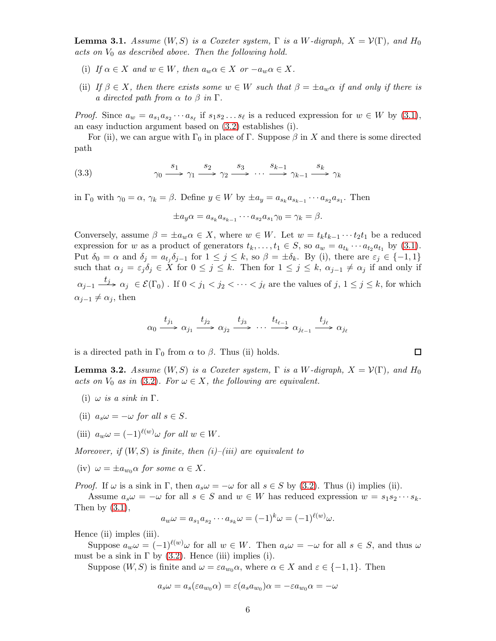<span id="page-5-0"></span>**Lemma 3.1.** Assume  $(W, S)$  is a Coxeter system,  $\Gamma$  is a W-digraph,  $X = \mathcal{V}(\Gamma)$ , and  $H_0$ acts on  $V_0$  as described above. Then the following hold.

- (i) If  $\alpha \in X$  and  $w \in W$ , then  $a_w \alpha \in X$  or  $-a_w \alpha \in X$ .
- (ii) If  $\beta \in X$ , then there exists some  $w \in W$  such that  $\beta = \pm a_w \alpha$  if and only if there is a directed path from  $\alpha$  to  $\beta$  in  $\Gamma$ .

*Proof.* Since  $a_w = a_{s_1} a_{s_2} \cdots a_{s_\ell}$  if  $s_1 s_2 \ldots s_\ell$  is a reduced expression for  $w \in W$  by  $(3.1)$ , an easy induction argument based on [\(3.2\)](#page-4-1) establishes (i).

For (ii), we can argue with  $\Gamma_0$  in place of  $\Gamma$ . Suppose  $\beta$  in X and there is some directed path

(3.3) 
$$
\gamma_0 \xrightarrow{S_1} \gamma_1 \xrightarrow{S_2} \gamma_2 \xrightarrow{S_3} \cdots \xrightarrow{S_{k-1}} \gamma_{k-1} \xrightarrow{S_k} \gamma_k
$$

in  $\Gamma_0$  with  $\gamma_0 = \alpha$ ,  $\gamma_k = \beta$ . Define  $y \in W$  by  $\pm a_y = a_{s_k} a_{s_{k-1}} \cdots a_{s_2} a_{s_1}$ . Then

$$
\pm a_y \alpha = a_{s_k} a_{s_{k-1}} \cdots a_{s_2} a_{s_1} \gamma_0 = \gamma_k = \beta.
$$

Conversely, assume  $\beta = \pm a_w \alpha \in X$ , where  $w \in W$ . Let  $w = t_k t_{k-1} \cdots t_2 t_1$  be a reduced expression for w as a product of generators  $t_k, \ldots, t_1 \in S$ , so  $a_w = a_{t_k} \cdots a_{t_2} a_{t_1}$  by [\(3.1\)](#page-4-0). Put  $\delta_0 = \alpha$  and  $\delta_j = a_{t_j} \delta_{j-1}$  for  $1 \leq j \leq k$ , so  $\beta = \pm \delta_k$ . By (i), there are  $\varepsilon_j \in \{-1, 1\}$ such that  $\alpha_j = \varepsilon_j \delta_j \in X$  for  $0 \leq j \leq k$ . Then for  $1 \leq j \leq k$ ,  $\alpha_{j-1} \neq \alpha_j$  if and only if  $\alpha_{j-1} \stackrel{t_j}{\longrightarrow} \alpha_j \in \mathcal{E}(\Gamma_0)$  . If  $0 < j_1 < j_2 < \cdots < j_\ell$  are the values of  $j, 1 \le j \le k$ , for which  $\alpha_{j-1} \neq \alpha_j$ , then

$$
\alpha_0 \xrightarrow{t_{j_1}} \alpha_{j_1} \xrightarrow{t_{j_2}} \alpha_{j_2} \xrightarrow{t_{j_3}} \cdots \xrightarrow{t_{t_{\ell-1}}} \alpha_{j_{\ell-1}} \xrightarrow{t_{j_\ell}} \alpha_{j_\ell}
$$

is a directed path in  $\Gamma_0$  from  $\alpha$  to  $\beta$ . Thus (ii) holds.

**Lemma 3.2.** Assume  $(W, S)$  is a Coxeter system,  $\Gamma$  is a W-digraph,  $X = \mathcal{V}(\Gamma)$ , and  $H_0$ acts on  $V_0$  as in [\(3.2\)](#page-4-1). For  $\omega \in X$ , the following are equivalent.

- (i)  $\omega$  is a sink in  $\Gamma$ .
- (ii)  $a_s \omega = -\omega$  for all  $s \in S$ .

(iii) 
$$
a_w \omega = (-1)^{\ell(w)} \omega
$$
 for all  $w \in W$ .

Moreover, if  $(W, S)$  is finite, then  $(i)$ – $(iii)$  are equivalent to

(iv)  $\omega = \pm a_{w_0} \alpha$  for some  $\alpha \in X$ .

*Proof.* If  $\omega$  is a sink in Γ, then  $a_s\omega = -\omega$  for all  $s \in S$  by [\(3.2\)](#page-4-1). Thus (i) implies (ii).

Assume  $a_s \omega = -\omega$  for all  $s \in S$  and  $w \in W$  has reduced expression  $w = s_1 s_2 \cdots s_k$ . Then by  $(3.1)$ ,

$$
a_w \omega = a_{s_1} a_{s_2} \cdots a_{s_k} \omega = (-1)^k \omega = (-1)^{\ell(w)} \omega.
$$

Hence (ii) imples (iii).

Suppose  $a_w \omega = (-1)^{\ell(w)} \omega$  for all  $w \in W$ . Then  $a_s \omega = -\omega$  for all  $s \in S$ , and thus  $\omega$ must be a sink in  $\Gamma$  by [\(3.2\)](#page-4-1). Hence (iii) implies (i).

Suppose  $(W, S)$  is finite and  $\omega = \varepsilon a_{w_0} \alpha$ , where  $\alpha \in X$  and  $\varepsilon \in \{-1, 1\}$ . Then

$$
a_s\omega=a_s(\varepsilon a_{w_0}\alpha)=\varepsilon(a_sa_{w_0})\alpha=-\varepsilon a_{w_0}\alpha=-\omega
$$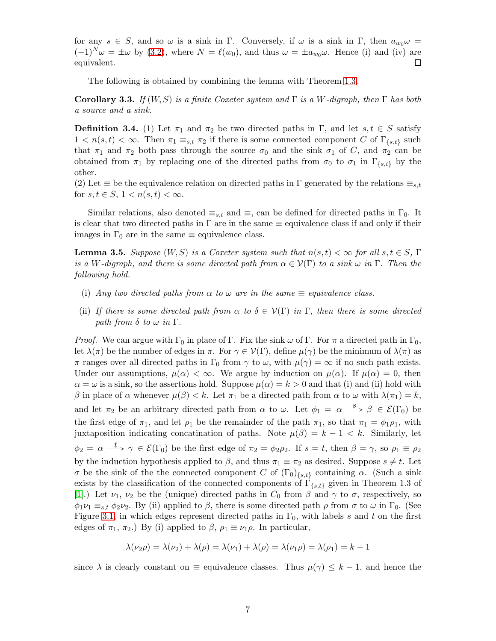for any  $s \in S$ , and so  $\omega$  is a sink in Γ. Conversely, if  $\omega$  is a sink in Γ, then  $a_{w_0}\omega =$  $(-1)^N \omega = \pm \omega$  by [\(3.2\)](#page-4-1), where  $N = \ell(w_0)$ , and thus  $\omega = \pm a_{w_0} \omega$ . Hence (i) and (iv) are equivalent.  $\Box$ 

The following is obtained by combining the lemma with Theorem [1.3.](#page-1-1)

<span id="page-6-1"></span>Corollary 3.3. If  $(W, S)$  is a finite Coxeter system and  $\Gamma$  is a W-digraph, then  $\Gamma$  has both a source and a sink.

**Definition 3.4.** (1) Let  $\pi_1$  and  $\pi_2$  be two directed paths in Γ, and let  $s, t \in S$  satisfy  $1 < n(s,t) < \infty$ . Then  $\pi_1 \equiv_{s,t} \pi_2$  if there is some connected component C of  $\Gamma_{\{s,t\}}$  such that  $\pi_1$  and  $\pi_2$  both pass through the source  $\sigma_0$  and the sink  $\sigma_1$  of C, and  $\pi_2$  can be obtained from  $\pi_1$  by replacing one of the directed paths from  $\sigma_0$  to  $\sigma_1$  in  $\Gamma_{\{s,t\}}$  by the other.

(2) Let  $\equiv$  be the equivalence relation on directed paths in  $\Gamma$  generated by the relations  $\equiv_{s,t}$ for  $s, t \in S$ ,  $1 < n(s,t) < \infty$ .

Similar relations, also denoted  $\equiv_{s,t}$  and  $\equiv$ , can be defined for directed paths in  $\Gamma_0$ . It is clear that two directed paths in  $\Gamma$  are in the same  $\equiv$  equivalence class if and only if their images in  $\Gamma_0$  are in the same  $\equiv$  equivalence class.

<span id="page-6-0"></span>**Lemma 3.5.** Suppose  $(W, S)$  is a Coxeter system such that  $n(s, t) < \infty$  for all  $s, t \in S$ ,  $\Gamma$ is a W-digraph, and there is some directed path from  $\alpha \in \mathcal{V}(\Gamma)$  to a sink  $\omega$  in  $\Gamma$ . Then the following hold.

- (i) Any two directed paths from  $\alpha$  to  $\omega$  are in the same  $\equiv$  equivalence class.
- (ii) If there is some directed path from  $\alpha$  to  $\delta \in \mathcal{V}(\Gamma)$  in  $\Gamma$ , then there is some directed path from  $\delta$  to  $\omega$  in  $\Gamma$ .

*Proof.* We can argue with  $\Gamma_0$  in place of  $\Gamma$ . Fix the sink  $\omega$  of  $\Gamma$ . For  $\pi$  a directed path in  $\Gamma_0$ , let  $\lambda(\pi)$  be the number of edges in  $\pi$ . For  $\gamma \in \mathcal{V}(\Gamma)$ , define  $\mu(\gamma)$  be the minimum of  $\lambda(\pi)$  as  $\pi$  ranges over all directed paths in  $\Gamma_0$  from  $\gamma$  to  $\omega$ , with  $\mu(\gamma) = \infty$  if no such path exists. Under our assumptions,  $\mu(\alpha) < \infty$ . We argue by induction on  $\mu(\alpha)$ . If  $\mu(\alpha) = 0$ , then  $\alpha = \omega$  is a sink, so the assertions hold. Suppose  $\mu(\alpha) = k > 0$  and that (i) and (ii) hold with β in place of α whenever  $\mu(\beta) < k$ . Let  $\pi_1$  be a directed path from α to ω with  $\lambda(\pi_1) = k$ , and let  $\pi_2$  be an arbitrary directed path from  $\alpha$  to  $\omega$ . Let  $\phi_1 = \alpha \stackrel{s}{\longrightarrow} \beta \in \mathcal{E}(\Gamma_0)$  be the first edge of  $\pi_1$ , and let  $\rho_1$  be the remainder of the path  $\pi_1$ , so that  $\pi_1 = \phi_1 \rho_1$ , with juxtaposition indicating concatination of paths. Note  $\mu(\beta) = k - 1 < k$ . Similarly, let  $\phi_2 = \alpha \stackrel{t}{\longrightarrow} \gamma \in \mathcal{E}(\Gamma_0)$  be the first edge of  $\pi_2 = \phi_2 \rho_2$ . If  $s = t$ , then  $\beta = \gamma$ , so  $\rho_1 \equiv \rho_2$ by the induction hypothesis applied to  $\beta$ , and thus  $\pi_1 \equiv \pi_2$  as desired. Suppose  $s \neq t$ . Let σ be the sink of the the connected component C of  $(\Gamma_0)_{\{s,t\}}$  containing α. (Such a sink exists by the classification of the connected components of  $\Gamma_{\{s,t\}}$  given in Theorem 1.3 of [\[1\]](#page-14-0).) Let  $\nu_1, \nu_2$  be the (unique) directed paths in  $C_0$  from  $\beta$  and  $\gamma$  to  $\sigma$ , respectively, so  $\phi_1\nu_1 \equiv_{s,t} \phi_2\nu_2$ . By (ii) applied to  $\beta$ , there is some directed path  $\rho$  from  $\sigma$  to  $\omega$  in  $\Gamma_0$ . (See Figure [3.1,](#page-7-0) in which edges represent directed paths in  $\Gamma_0$ , with labels s and t on the first edges of  $\pi_1$ ,  $\pi_2$ .) By (i) applied to  $\beta$ ,  $\rho_1 \equiv \nu_1 \rho$ . In particular,

$$
\lambda(\nu_2 \rho) = \lambda(\nu_2) + \lambda(\rho) = \lambda(\nu_1) + \lambda(\rho) = \lambda(\nu_1 \rho) = \lambda(\rho_1) = k - 1
$$

since  $\lambda$  is clearly constant on  $\equiv$  equivalence classes. Thus  $\mu(\gamma) \leq k-1$ , and hence the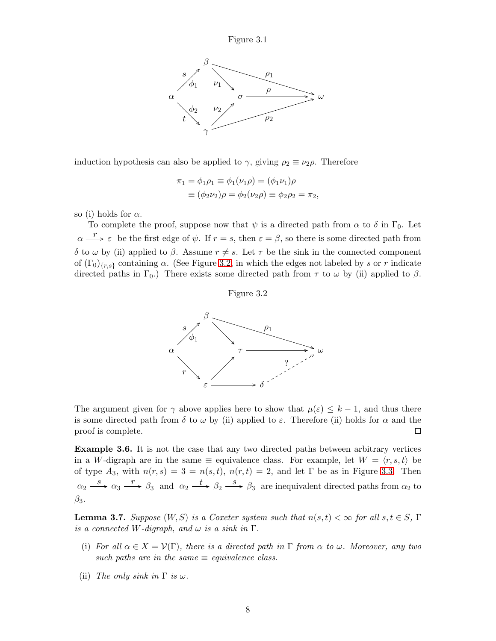<span id="page-7-0"></span>

induction hypothesis can also be applied to  $\gamma$ , giving  $\rho_2 \equiv \nu_2 \rho$ . Therefore

$$
\pi_1 = \phi_1 \rho_1 \equiv \phi_1(\nu_1 \rho) = (\phi_1 \nu_1)\rho
$$
  

$$
\equiv (\phi_2 \nu_2)\rho = \phi_2(\nu_2 \rho) \equiv \phi_2 \rho_2 = \pi_2,
$$

so (i) holds for  $\alpha$ .

<span id="page-7-1"></span>To complete the proof, suppose now that  $\psi$  is a directed path from  $\alpha$  to  $\delta$  in  $\Gamma_0$ . Let  $\alpha \stackrel{r}{\longrightarrow} \varepsilon$  be the first edge of  $\psi$ . If  $r = s$ , then  $\varepsilon = \beta$ , so there is some directed path from δ to ω by (ii) applied to β. Assume  $r \neq s$ . Let  $\tau$  be the sink in the connected component of  $(\Gamma_0)_{\{r,s\}}$  containing  $\alpha$ . (See Figure [3.2,](#page-7-1) in which the edges not labeled by s or r indicate directed paths in  $\Gamma_0$ .) There exists some directed path from  $\tau$  to  $\omega$  by (ii) applied to  $\beta$ .





The argument given for  $\gamma$  above applies here to show that  $\mu(\varepsilon) \leq k-1$ , and thus there is some directed path from  $\delta$  to  $\omega$  by (ii) applied to  $\varepsilon$ . Therefore (ii) holds for  $\alpha$  and the proof is complete.  $\Box$ 

<span id="page-7-2"></span>Example 3.6. It is not the case that any two directed paths between arbitrary vertices in a W-digraph are in the same  $\equiv$  equivalence class. For example, let  $W = \langle r, s, t \rangle$  be of type  $A_3$ , with  $n(r, s) = 3 = n(s, t)$ ,  $n(r, t) = 2$ , and let  $\Gamma$  be as in Figure [3.3.](#page-8-0) Then  $\alpha_2 \stackrel{s}{\longrightarrow} \alpha_3 \stackrel{r}{\longrightarrow} \beta_3$  and  $\alpha_2 \stackrel{t}{\longrightarrow} \beta_2 \stackrel{s}{\longrightarrow} \beta_3$  are inequivalent directed paths from  $\alpha_2$  to  $\beta_3$ .

<span id="page-7-3"></span>**Lemma 3.7.** Suppose  $(W, S)$  is a Coxeter system such that  $n(s, t) < \infty$  for all  $s, t \in S$ ,  $\Gamma$ is a connected W-digraph, and  $\omega$  is a sink in  $\Gamma$ .

- (i) For all  $\alpha \in X = \mathcal{V}(\Gamma)$ , there is a directed path in  $\Gamma$  from  $\alpha$  to  $\omega$ . Moreover, any two such paths are in the same  $\equiv$  equivalence class.
- (ii) The only sink in  $\Gamma$  is  $\omega$ .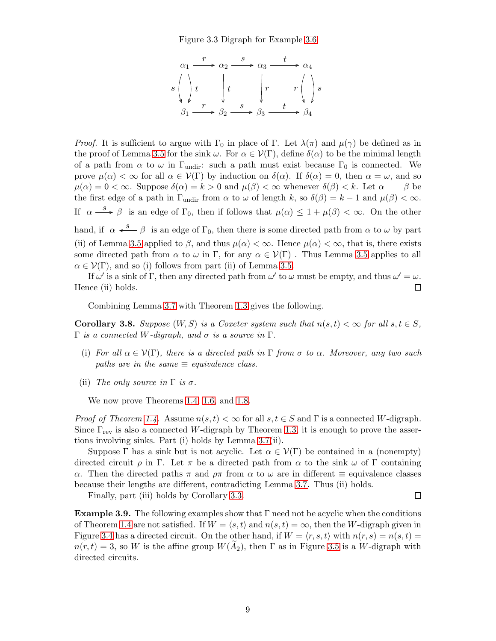Figure 3.3 Digraph for Example [3.6](#page-7-2)

<span id="page-8-0"></span>

*Proof.* It is sufficient to argue with  $\Gamma_0$  in place of  $\Gamma$ . Let  $\lambda(\pi)$  and  $\mu(\gamma)$  be defined as in the proof of Lemma [3.5](#page-6-0) for the sink  $\omega$ . For  $\alpha \in \mathcal{V}(\Gamma)$ , define  $\delta(\alpha)$  to be the minimal length of a path from  $\alpha$  to  $\omega$  in  $\Gamma_{\text{undir}}$ : such a path must exist because  $\Gamma_0$  is connected. We prove  $\mu(\alpha) < \infty$  for all  $\alpha \in V(\Gamma)$  by induction on  $\delta(\alpha)$ . If  $\delta(\alpha) = 0$ , then  $\alpha = \omega$ , and so  $\mu(\alpha) = 0 < \infty$ . Suppose  $\delta(\alpha) = k > 0$  and  $\mu(\beta) < \infty$  whenever  $\delta(\beta) < k$ . Let  $\alpha \longrightarrow \beta$  be the first edge of a path in  $\Gamma_{\text{undir}}$  from  $\alpha$  to  $\omega$  of length k, so  $\delta(\beta) = k - 1$  and  $\mu(\beta) < \infty$ . If  $\alpha \stackrel{s}{\longrightarrow} \beta$  is an edge of  $\Gamma_0$ , then if follows that  $\mu(\alpha) \leq 1 + \mu(\beta) < \infty$ . On the other hand, if  $\alpha \stackrel{s}{\longleftarrow} \beta$  is an edge of  $\Gamma_0$ , then there is some directed path from  $\alpha$  to  $\omega$  by part (ii) of Lemma [3.5](#page-6-0) applied to  $\beta$ , and thus  $\mu(\alpha) < \infty$ . Hence  $\mu(\alpha) < \infty$ , that is, there exists some directed path from  $\alpha$  to  $\omega$  in Γ, for any  $\alpha \in \mathcal{V}(\Gamma)$ . Thus Lemma [3.5](#page-6-0) applies to all

If  $\omega'$  is a sink of  $\Gamma$ , then any directed path from  $\omega'$  to  $\omega$  must be empty, and thus  $\omega' = \omega$ . Hence (ii) holds. □

Combining Lemma [3.7](#page-7-3) with Theorem [1.3](#page-1-1) gives the following.

 $\alpha \in \mathcal{V}(\Gamma)$ , and so (i) follows from part (ii) of Lemma [3.5.](#page-6-0)

<span id="page-8-1"></span>**Corollary 3.8.** Suppose  $(W, S)$  is a Coxeter system such that  $n(s, t) < \infty$  for all  $s, t \in S$ ,  $\Gamma$  is a connected W-digraph, and  $\sigma$  is a source in  $\Gamma$ .

- (i) For all  $\alpha \in \mathcal{V}(\Gamma)$ , there is a directed path in  $\Gamma$  from  $\sigma$  to  $\alpha$ . Moreover, any two such paths are in the same  $\equiv$  equivalence class.
- (ii) The only source in  $\Gamma$  is  $\sigma$ .

We now prove Theorems [1.4,](#page-1-2) [1.6,](#page-1-3) and [1.8.](#page-1-4)

*Proof of Theorem [1.4.](#page-1-2)* Assume  $n(s, t) < \infty$  for all  $s, t \in S$  and  $\Gamma$  is a connected W-digraph. Since  $\Gamma_{\text{rev}}$  is also a connected W-digraph by Theorem [1.3,](#page-1-1) it is enough to prove the assertions involving sinks. Part (i) holds by Lemma [3.7\(](#page-7-3)ii).

Suppose Γ has a sink but is not acyclic. Let  $\alpha \in V(\Gamma)$  be contained in a (nonempty) directed circuit  $\rho$  in Γ. Let  $\pi$  be a directed path from  $\alpha$  to the sink  $\omega$  of Γ containing α. Then the directed paths π and  $ρπ$  from α to ω are in different  $\equiv$  equivalence classes because their lengths are different, contradicting Lemma [3.7.](#page-7-3) Thus (ii) holds.

 $\Box$ 

Finally, part (iii) holds by Corollary [3.3.](#page-6-1)

**Example 3.9.** The following examples show that  $\Gamma$  need not be acyclic when the conditions of Theorem [1.4](#page-1-2) are not satisfied. If  $W = \langle s, t \rangle$  and  $n(s, t) = \infty$ , then the W-digraph given in Figure [3.4](#page-9-1) has a directed circuit. On the other hand, if  $W = \langle r, s, t \rangle$  with  $n(r, s) = n(s, t)$  $n(r, t) = 3$ , so W is the affine group  $W(A_2)$ , then  $\Gamma$  as in Figure [3.5](#page-9-1) is a W-digraph with directed circuits.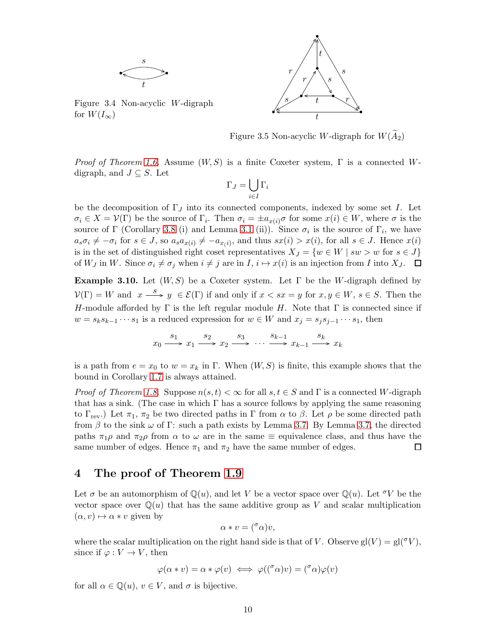<span id="page-9-1"></span>

Figure 3.4 Non-acyclic W-digraph for  $W(I_\infty)$ 



Figure 3.5 Non-acyclic W-digraph for  $W(A_2)$ 

*Proof of Theorem [1.6.](#page-1-3)* Assume  $(W, S)$  is a finite Coxeter system,  $\Gamma$  is a connected Wdigraph, and  $J \subseteq S$ . Let

$$
\Gamma_J = \bigcup_{i \in I} \Gamma_i
$$

be the decomposition of  $\Gamma_J$  into its connected components, indexed by some set I. Let  $\sigma_i \in X = \mathcal{V}(\Gamma)$  be the source of  $\Gamma_i$ . Then  $\sigma_i = \pm a_{x(i)}\sigma$  for some  $x(i) \in W$ , where  $\sigma$  is the source of  $\Gamma$  (Corollary [3.8](#page-8-1) (i) and Lemma [3.1](#page-5-0) (ii)). Since  $\sigma_i$  is the source of  $\Gamma_i$ , we have  $a_s \sigma_i \neq -\sigma_i$  for  $s \in J$ , so  $a_s a_{x(i)} \neq -a_{x(i)}$ , and thus  $sx(i) > x(i)$ , for all  $s \in J$ . Hence  $x(i)$ is in the set of distinguished right coset representatives  $X_J = \{w \in W \mid sw > w \text{ for } s \in J\}$ of  $W_J$  in W. Since  $\sigma_i \neq \sigma_j$  when  $i \neq j$  are in  $I, i \mapsto x(i)$  is an injection from I into  $X_J$ .  $\Box$ 

<span id="page-9-0"></span>Example 3.10. Let  $(W, S)$  be a Coxeter system. Let  $\Gamma$  be the W-digraph defined by  $V(\Gamma) = W$  and  $x \stackrel{s}{\longrightarrow} y \in \mathcal{E}(\Gamma)$  if and only if  $x < sx = y$  for  $x, y \in W$ ,  $s \in S$ . Then the H-module afforded by  $\Gamma$  is the left regular module H. Note that  $\Gamma$  is connected since if  $w = s_k s_{k-1} \cdots s_1$  is a reduced expression for  $w \in W$  and  $x_j = s_j s_{j-1} \cdots s_1$ , then

$$
x_0 \xrightarrow{s_1} x_1 \xrightarrow{s_2} x_2 \xrightarrow{s_3} \cdots \xrightarrow{s_{k-1}} x_{k-1} \xrightarrow{s_k} x_k
$$

is a path from  $e = x_0$  to  $w = x_k$  in Γ. When  $(W, S)$  is finite, this example shows that the bound in Corollary [1.7](#page-1-0) is always attained.

*Proof of Theorem [1.8.](#page-1-4)* Suppose  $n(s,t) < \infty$  for all  $s,t \in S$  and  $\Gamma$  is a connected W-digraph that has a sink. (The case in which  $\Gamma$  has a source follows by applying the same reasoning to Γ<sub>rev</sub>.) Let  $\pi_1$ ,  $\pi_2$  be two directed paths in Γ from  $\alpha$  to  $\beta$ . Let  $\rho$  be some directed path from  $\beta$  to the sink  $\omega$  of Γ: such a path exists by Lemma [3.7.](#page-7-3) By Lemma [3.7,](#page-7-3) the directed paths  $\pi_1 \rho$  and  $\pi_2 \rho$  from  $\alpha$  to  $\omega$  are in the same  $\equiv$  equivalence class, and thus have the same number of edges. Hence  $\pi_1$  and  $\pi_2$  have the same number of edges. □

### 4 The proof of Theorem [1.9](#page-1-5)

Let  $\sigma$  be an automorphism of  $\mathbb{Q}(u)$ , and let V be a vector space over  $\mathbb{Q}(u)$ . Let  $\sigma V$  be the vector space over  $\mathbb{Q}(u)$  that has the same additive group as V and scalar multiplication  $(\alpha, v) \mapsto \alpha * v$  given by

$$
\alpha * v = (^\sigma \alpha)v,
$$

where the scalar multiplication on the right hand side is that of V. Observe gl(V) = gl( $\sigma$ V), since if  $\varphi: V \to V$ , then

$$
\varphi(\alpha * v) = \alpha * \varphi(v) \iff \varphi((\sigma \alpha)v) = (\sigma \alpha)\varphi(v)
$$

for all  $\alpha \in \mathbb{Q}(u), v \in V$ , and  $\sigma$  is bijective.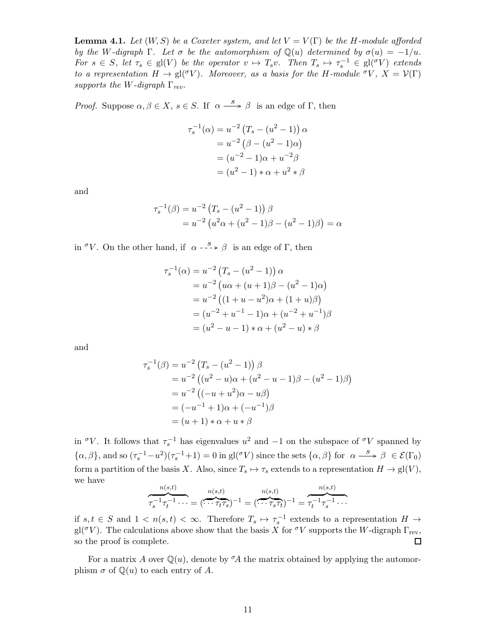**Lemma 4.1.** Let  $(W, S)$  be a Coxeter system, and let  $V = V(\Gamma)$  be the H-module afforded by the W-digraph  $\Gamma$ . Let  $\sigma$  be the automorphism of  $\mathbb{Q}(u)$  determined by  $\sigma(u) = -1/u$ . For  $s \in S$ , let  $\tau_s \in gl(V)$  be the operator  $v \mapsto T_s v$ . Then  $T_s \mapsto \tau_s^{-1} \in gl({}^{\sigma}V)$  extends to a representation  $H \to \text{gl}^{\sigma}V$ ). Moreover, as a basis for the H-module  ${}^{\sigma}V$ ,  $X = V(\Gamma)$ supports the W-digraph  $\Gamma_{rev}$ .

*Proof.* Suppose  $\alpha, \beta \in X$ ,  $s \in S$ . If  $\alpha \stackrel{s}{\longrightarrow} \beta$  is an edge of  $\Gamma$ , then

$$
\tau_s^{-1}(\alpha) = u^{-2} (T_s - (u^2 - 1)) \alpha
$$
  
=  $u^{-2} (\beta - (u^2 - 1)\alpha)$   
=  $(u^{-2} - 1)\alpha + u^{-2}\beta$   
=  $(u^2 - 1) * \alpha + u^2 * \beta$ 

and

$$
\tau_s^{-1}(\beta) = u^{-2} (T_s - (u^2 - 1)) \beta \n= u^{-2} (u^2 \alpha + (u^2 - 1)\beta - (u^2 - 1)\beta) = \alpha
$$

in  ${}^{\sigma}V$ . On the other hand, if  $\alpha - \frac{s}{2} > \beta$  is an edge of  $\Gamma$ , then

$$
\tau_s^{-1}(\alpha) = u^{-2} (T_s - (u^2 - 1)) \alpha
$$
  
=  $u^{-2} (u\alpha + (u + 1)\beta - (u^2 - 1)\alpha)$   
=  $u^{-2} ((1 + u - u^2)\alpha + (1 + u)\beta)$   
=  $(u^{-2} + u^{-1} - 1)\alpha + (u^{-2} + u^{-1})\beta$   
=  $(u^2 - u - 1) * \alpha + (u^2 - u) * \beta$ 

and

$$
\tau_s^{-1}(\beta) = u^{-2} (T_s - (u^2 - 1)) \beta
$$
  
=  $u^{-2} ((u^2 - u)\alpha + (u^2 - u - 1)\beta - (u^2 - 1)\beta)$   
=  $u^{-2} ((-u + u^2)\alpha - u\beta)$   
=  $(-u^{-1} + 1)\alpha + (-u^{-1})\beta$   
=  $(u + 1) * \alpha + u * \beta$ 

in  $\sigma V$ . It follows that  $\tau_s^{-1}$  has eigenvalues  $u^2$  and  $-1$  on the subspace of  $\sigma V$  spanned by  $\{\alpha,\beta\}$ , and so  $(\tau_s^{-1}-u^2)(\tau_s^{-1}+1)=0$  in  $gl(\sigma V)$  since the sets  $\{\alpha,\beta\}$  for  $\alpha \stackrel{s}{\longrightarrow} \beta \in \mathcal{E}(\Gamma_0)$ form a partition of the basis X. Also, since  $T_s \mapsto \tau_s$  extends to a representation  $H \to gl(V)$ , we have

$$
\overbrace{\tau_s^{-1}\tau_t^{-1}\cdots}^{n(s,t)} = (\overbrace{\cdots \tau_t\tau_s}^{n(s,t)})^{-1} = (\overbrace{\cdots \tau_s\tau_t}^{n(s,t)})^{-1} = \overbrace{\tau_t^{-1}\tau_s^{-1}\cdots}^{n(s,t)}
$$

if  $s, t \in S$  and  $1 < n(s,t) < \infty$ . Therefore  $T_s \mapsto \tau_s^{-1}$  extends to a representation  $H \to$ gl( $\sigma V$ ). The calculations above show that the basis X for  $\sigma V$  supports the W-digraph  $\Gamma_{\text{rev}}$ , so the proof is complete. □

For a matrix A over  $\mathbb{Q}(u)$ , denote by  ${}^{\sigma}\!A$  the matrix obtained by applying the automorphism  $\sigma$  of  $\mathbb{Q}(u)$  to each entry of A.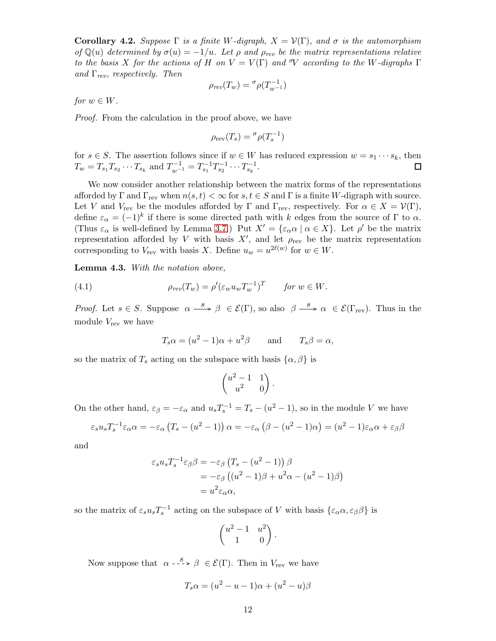<span id="page-11-1"></span>Corollary 4.2. Suppose  $\Gamma$  is a finite W-digraph,  $X = \mathcal{V}(\Gamma)$ , and  $\sigma$  is the automorphism of  $\mathbb{Q}(u)$  determined by  $\sigma(u) = -1/u$ . Let  $\rho$  and  $\rho_{rev}$  be the matrix representations relative to the basis X for the actions of H on  $V = V(\Gamma)$  and  $\mathcal V$  according to the W-digraphs  $\Gamma$ and  $\Gamma_{rev}$ , respectively. Then

$$
\rho_{rev}(T_w) = \sigma \rho(T_{w^{-1}}^{-1})
$$

for  $w \in W$ .

Proof. From the calculation in the proof above, we have

$$
\rho_{rev}(T_s) = \sigma \rho(T_s^{-1})
$$

for  $s \in S$ . The assertion follows since if  $w \in W$  has reduced expression  $w = s_1 \cdots s_k$ , then  $T_w = T_{s_1} T_{s_2} \cdots T_{s_k}$  and  $T_{w^{-1}}^{-1} = T_{s_1}^{-1} T_{s_2}^{-1} \cdots T_{s_k}^{-1}$ . □

We now consider another relationship between the matrix forms of the representations afforded by  $\Gamma$  and  $\Gamma_{\text{rev}}$  when  $n(s, t) < \infty$  for  $s, t \in S$  and  $\Gamma$  is a finite W-digraph with source. Let V and  $V_{\text{rev}}$  be the modules afforded by  $\Gamma$  and  $\Gamma_{\text{rev}}$ , respectively. For  $\alpha \in X = \mathcal{V}(\Gamma)$ , define  $\varepsilon_{\alpha} = (-1)^{k}$  if there is some directed path with k edges from the source of  $\Gamma$  to  $\alpha$ . (Thus  $\varepsilon_{\alpha}$  is well-defined by Lemma [3.7.](#page-7-3)) Put  $X' = {\varepsilon_{\alpha} \alpha \mid \alpha \in X}$ . Let  $\rho'$  be the matrix representation afforded by V with basis  $X'$ , and let  $\rho_{rev}$  be the matrix representation corresponding to  $V_{\text{rev}}$  with basis X. Define  $u_w = u^{2\ell(w)}$  for  $w \in W$ .

<span id="page-11-2"></span>Lemma 4.3. With the notation above,

(4.1) 
$$
\rho_{rev}(T_w) = \rho'(\varepsilon_w u_w T_w^{-1})^T \quad \text{for } w \in W.
$$

*Proof.* Let  $s \in S$ . Suppose  $\alpha \stackrel{s}{\longrightarrow} \beta \in \mathcal{E}(\Gamma)$ , so also  $\beta \stackrel{s}{\longrightarrow} \alpha \in \mathcal{E}(\Gamma_{\text{rev}})$ . Thus in the module  $V_{\text{rev}}$  we have

<span id="page-11-0"></span>
$$
T_s \alpha = (u^2 - 1)\alpha + u^2 \beta
$$
 and  $T_s \beta = \alpha$ ,

so the matrix of  $T_s$  acting on the subspace with basis  $\{\alpha, \beta\}$  is

$$
\begin{pmatrix}u^2-1&1\\u^2&0\end{pmatrix}
$$

.

On the other hand,  $\varepsilon_{\beta} = -\varepsilon_{\alpha}$  and  $u_s T_s^{-1} = T_s - (u^2 - 1)$ , so in the module V we have

$$
\varepsilon_s u_s T_s^{-1} \varepsilon_\alpha \alpha = -\varepsilon_\alpha \left( T_s - (u^2 - 1) \right) \alpha = -\varepsilon_\alpha \left( \beta - (u^2 - 1) \alpha \right) = (u^2 - 1) \varepsilon_\alpha \alpha + \varepsilon_\beta \beta
$$

and

$$
\varepsilon_s u_s T_s^{-1} \varepsilon_\beta \beta = -\varepsilon_\beta \left( T_s - (u^2 - 1) \right) \beta
$$
  
=  $-\varepsilon_\beta \left( (u^2 - 1)\beta + u^2 \alpha - (u^2 - 1)\beta \right)$   
=  $u^2 \varepsilon_\alpha \alpha$ ,

so the matrix of  $\varepsilon_s u_s T_s^{-1}$  acting on the subspace of V with basis  $\{\varepsilon_\alpha \alpha, \varepsilon_\beta \beta\}$  is

$$
\begin{pmatrix} u^2 - 1 & u^2 \\ 1 & 0 \end{pmatrix}.
$$

Now suppose that  $\alpha \rightarrow s \ \beta \in \mathcal{E}(\Gamma)$ . Then in  $V_{\text{rev}}$  we have

$$
T_s \alpha = (u^2 - u - 1)\alpha + (u^2 - u)\beta
$$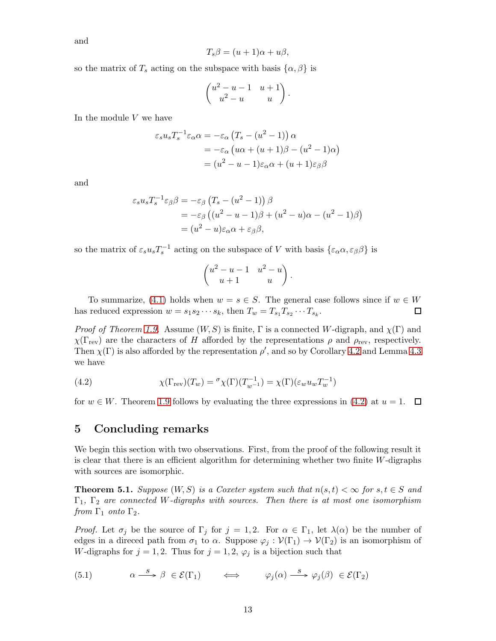and

$$
T_s\beta = (u+1)\alpha + u\beta,
$$

so the matrix of  $T_s$  acting on the subspace with basis  $\{\alpha, \beta\}$  is

$$
\begin{pmatrix} u^2 - u - 1 & u + 1 \ u^2 - u & u \end{pmatrix}.
$$

In the module  $V$  we have

$$
\varepsilon_s u_s T_s^{-1} \varepsilon_\alpha \alpha = -\varepsilon_\alpha \left( T_s - (u^2 - 1) \right) \alpha
$$
  
=  $-\varepsilon_\alpha \left( u\alpha + (u+1)\beta - (u^2 - 1)\alpha \right)$   
=  $(u^2 - u - 1)\varepsilon_\alpha \alpha + (u+1)\varepsilon_\beta \beta$ 

and

$$
\varepsilon_s u_s T_s^{-1} \varepsilon_\beta \beta = -\varepsilon_\beta \left( T_s - (u^2 - 1) \right) \beta
$$
  
=  $-\varepsilon_\beta \left( (u^2 - u - 1)\beta + (u^2 - u)\alpha - (u^2 - 1)\beta \right)$   
=  $(u^2 - u)\varepsilon_\alpha \alpha + \varepsilon_\beta \beta,$ 

so the matrix of  $\varepsilon_s u_s T_s^{-1}$  acting on the subspace of V with basis  $\{\varepsilon_\alpha \alpha, \varepsilon_\beta \beta\}$  is

$$
\begin{pmatrix} u^2-u-1 & u^2-u \\ u+1 & u \end{pmatrix}.
$$

To summarize, [\(4.1\)](#page-11-0) holds when  $w = s \in S$ . The general case follows since if  $w \in W$  $\Box$ has reduced expression  $w = s_1 s_2 \cdots s_k$ , then  $T_w = T_{s_1} T_{s_2} \cdots T_{s_k}$ .

*Proof of Theorem [1.9.](#page-1-5)* Assume  $(W, S)$  is finite, Γ is a connected W-digraph, and  $\chi(\Gamma)$  and  $\chi(\Gamma_{\text{rev}})$  are the characters of H afforded by the representations  $\rho$  and  $\rho_{\text{rev}}$ , respectively. Then  $\chi(\Gamma)$  is also afforded by the representation  $\rho'$ , and so by Corollary [4.2](#page-11-1) and Lemma [4.3](#page-11-2) we have

<span id="page-12-0"></span>(4.2) 
$$
\chi(\Gamma_{\text{rev}})(T_w) = {}^{\sigma}\chi(\Gamma)(T_{w^{-1}}^{-1}) = \chi(\Gamma)(\varepsilon_w u_w T_w^{-1})
$$

for  $w \in W$ . Theorem [1.9](#page-1-5) follows by evaluating the three expressions in [\(4.2\)](#page-12-0) at  $u = 1$ .  $\Box$ 

#### 5 Concluding remarks

We begin this section with two observations. First, from the proof of the following result it is clear that there is an efficient algorithm for determining whether two finite W-digraphs with sources are isomorphic.

**Theorem 5.1.** Suppose  $(W, S)$  is a Coxeter system such that  $n(s,t) < \infty$  for  $s, t \in S$  and  $\Gamma_1$ ,  $\Gamma_2$  are connected W-digraphs with sources. Then there is at most one isomorphism from  $\Gamma_1$  onto  $\Gamma_2$ .

*Proof.* Let  $\sigma_j$  be the source of  $\Gamma_j$  for  $j = 1, 2$ . For  $\alpha \in \Gamma_1$ , let  $\lambda(\alpha)$  be the number of edges in a direced path from  $\sigma_1$  to  $\alpha$ . Suppose  $\varphi_j : \mathcal{V}(\Gamma_1) \to \mathcal{V}(\Gamma_2)$  is an isomorphism of W-digraphs for  $j = 1, 2$ . Thus for  $j = 1, 2, \varphi_j$  is a bijection such that

<span id="page-12-1"></span>(5.1) 
$$
\alpha \xrightarrow{S} \beta \in \mathcal{E}(\Gamma_1)
$$
  $\iff$   $\varphi_j(\alpha) \xrightarrow{S} \varphi_j(\beta) \in \mathcal{E}(\Gamma_2)$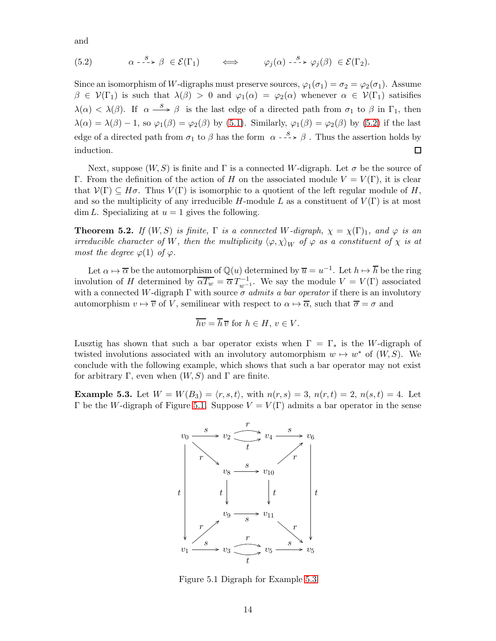and

<span id="page-13-0"></span>(5.2)  $\alpha \xrightarrow{S} \beta \in \mathcal{E}(\Gamma_1) \qquad \Longleftrightarrow \qquad \varphi_j(\alpha) \xrightarrow{S} \varphi_j(\beta) \in \mathcal{E}(\Gamma_2).$ 

Since an isomorphism of W-digraphs must preserve sources,  $\varphi_1(\sigma_1) = \sigma_2 = \varphi_2(\sigma_1)$ . Assume  $\beta \in V(\Gamma_1)$  is such that  $\lambda(\beta) > 0$  and  $\varphi_1(\alpha) = \varphi_2(\alpha)$  whenever  $\alpha \in V(\Gamma_1)$  satisfies  $\lambda(\alpha) < \lambda(\beta)$ . If  $\alpha \stackrel{s}{\longrightarrow} \beta$  is the last edge of a directed path from  $\sigma_1$  to  $\beta$  in  $\Gamma_1$ , then  $\lambda(\alpha) = \lambda(\beta) - 1$ , so  $\varphi_1(\beta) = \varphi_2(\beta)$  by [\(5.1\)](#page-12-1). Similarly,  $\varphi_1(\beta) = \varphi_2(\beta)$  by [\(5.2\)](#page-13-0) if the last edge of a directed path from  $\sigma_1$  to  $\beta$  has the form  $\alpha \stackrel{s}{\dashrightarrow} \beta$ . Thus the assertion holds by induction.  $\Box$ 

Next, suppose  $(W, S)$  is finite and  $\Gamma$  is a connected W-digraph. Let  $\sigma$  be the source of Γ. From the definition of the action of H on the associated module  $V = V(Γ)$ , it is clear that  $\mathcal{V}(\Gamma) \subseteq H\sigma$ . Thus  $V(\Gamma)$  is isomorphic to a quotient of the left regular module of H, and so the multiplicity of any irreducible H-module L as a constituent of  $V(\Gamma)$  is at most  $\dim L$ . Specializing at  $u = 1$  gives the following.

**Theorem 5.2.** If  $(W, S)$  is finite,  $\Gamma$  is a connected W-digraph,  $\chi = \chi(\Gamma)$ <sub>1</sub>, and  $\varphi$  is an irreducible character of W, then the multiplicity  $\langle \varphi, \chi \rangle_W$  of  $\varphi$  as a constituent of  $\chi$  is at most the degree  $\varphi(1)$  of  $\varphi$ .

Let  $\alpha \mapsto \overline{\alpha}$  be the automorphism of  $\mathbb{Q}(u)$  determined by  $\overline{u} = u^{-1}$ . Let  $h \mapsto \overline{h}$  be the ring involution of H determined by  $\overline{\alpha T_w} = \overline{\alpha} T_{w^{-1}}^{-1}$ . We say the module  $V = V(\Gamma)$  associated with a connected W-digraph  $\Gamma$  with source  $\sigma$  admits a bar operator if there is an involutory automorphism  $v \mapsto \overline{v}$  of V, semilinear with respect to  $\alpha \mapsto \overline{\alpha}$ , such that  $\overline{\sigma} = \sigma$  and

$$
\overline{hv} = \overline{h}\,\overline{v} \text{ for } h \in H, v \in V.
$$

Lusztig has shown that such a bar operator exists when  $\Gamma = \Gamma_*$  is the W-digraph of twisted involutions associated with an involutory automorphism  $w \mapsto w^*$  of  $(W, S)$ . We conclude with the following example, which shows that such a bar operator may not exist for arbitrary Γ, even when  $(W, S)$  and Γ are finite.

<span id="page-13-2"></span><span id="page-13-1"></span>**Example 5.3.** Let  $W = W(B_3) = \langle r, s, t \rangle$ , with  $n(r, s) = 3$ ,  $n(r, t) = 2$ ,  $n(s, t) = 4$ . Let Γ be the W-digraph of Figure [5.1.](#page-13-1) Suppose  $V = V(Γ)$  admits a bar operator in the sense



Figure 5.1 Digraph for Example [5.3](#page-13-2)